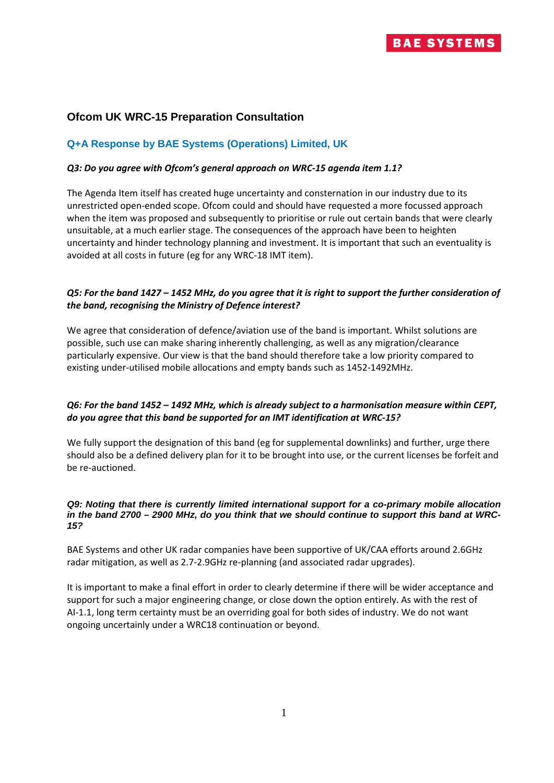# **Ofcom UK WRC-15 Preparation Consultation**

# **Q+A Response by BAE Systems (Operations) Limited, UK**

#### *Q3: Do you agree with Ofcom's general approach on WRC-15 agenda item 1.1?*

The Agenda Item itself has created huge uncertainty and consternation in our industry due to its unrestricted open-ended scope. Ofcom could and should have requested a more focussed approach when the item was proposed and subsequently to prioritise or rule out certain bands that were clearly unsuitable, at a much earlier stage. The consequences of the approach have been to heighten uncertainty and hinder technology planning and investment. It is important that such an eventuality is avoided at all costs in future (eg for any WRC-18 IMT item).

### *Q5: For the band 1427 – 1452 MHz, do you agree that it is right to support the further consideration of the band, recognising the Ministry of Defence interest?*

We agree that consideration of defence/aviation use of the band is important. Whilst solutions are possible, such use can make sharing inherently challenging, as well as any migration/clearance particularly expensive. Our view is that the band should therefore take a low priority compared to existing under-utilised mobile allocations and empty bands such as 1452-1492MHz.

# *Q6: For the band 1452 – 1492 MHz, which is already subject to a harmonisation measure within CEPT, do you agree that this band be supported for an IMT identification at WRC-15?*

We fully support the designation of this band (eg for supplemental downlinks) and further, urge there should also be a defined delivery plan for it to be brought into use, or the current licenses be forfeit and be re-auctioned.

#### *Q9: Noting that there is currently limited international support for a co-primary mobile allocation in the band 2700 – 2900 MHz, do you think that we should continue to support this band at WRC-15?*

BAE Systems and other UK radar companies have been supportive of UK/CAA efforts around 2.6GHz radar mitigation, as well as 2.7-2.9GHz re-planning (and associated radar upgrades).

It is important to make a final effort in order to clearly determine if there will be wider acceptance and support for such a major engineering change, or close down the option entirely. As with the rest of AI-1.1, long term certainty must be an overriding goal for both sides of industry. We do not want ongoing uncertainly under a WRC18 continuation or beyond.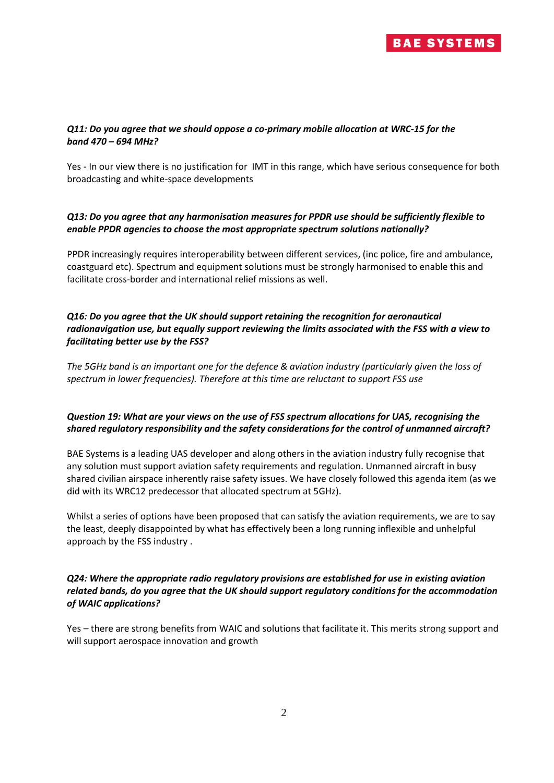

#### *Q11: Do you agree that we should oppose a co-primary mobile allocation at WRC-15 for the band 470 – 694 MHz?*

Yes - In our view there is no justification for IMT in this range, which have serious consequence for both broadcasting and white-space developments

### *Q13: Do you agree that any harmonisation measures for PPDR use should be sufficiently flexible to enable PPDR agencies to choose the most appropriate spectrum solutions nationally?*

PPDR increasingly requires interoperability between different services, (inc police, fire and ambulance, coastguard etc). Spectrum and equipment solutions must be strongly harmonised to enable this and facilitate cross-border and international relief missions as well.

### *Q16: Do you agree that the UK should support retaining the recognition for aeronautical radionavigation use, but equally support reviewing the limits associated with the FSS with a view to facilitating better use by the FSS?*

*The 5GHz band is an important one for the defence & aviation industry (particularly given the loss of spectrum in lower frequencies). Therefore at this time are reluctant to support FSS use*

# *Question 19: What are your views on the use of FSS spectrum allocations for UAS, recognising the shared regulatory responsibility and the safety considerations for the control of unmanned aircraft?*

BAE Systems is a leading UAS developer and along others in the aviation industry fully recognise that any solution must support aviation safety requirements and regulation. Unmanned aircraft in busy shared civilian airspace inherently raise safety issues. We have closely followed this agenda item (as we did with its WRC12 predecessor that allocated spectrum at 5GHz).

Whilst a series of options have been proposed that can satisfy the aviation requirements, we are to say the least, deeply disappointed by what has effectively been a long running inflexible and unhelpful approach by the FSS industry .

# *Q24: Where the appropriate radio regulatory provisions are established for use in existing aviation related bands, do you agree that the UK should support regulatory conditions for the accommodation of WAIC applications?*

Yes – there are strong benefits from WAIC and solutions that facilitate it. This merits strong support and will support aerospace innovation and growth